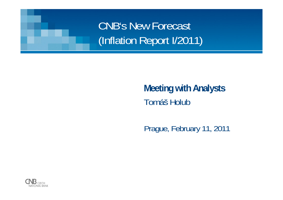CNB's New Forecast (Inflation Report I/2011)

#### **Meeting with Analysts** Tomáš Holub

Prague, February 11, 2011

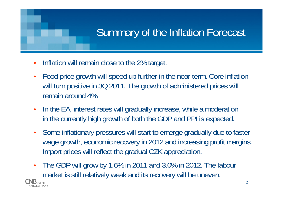# Summary of the Inflation Forecast

- Inflation will remain close to the 2% target.
- Food price growth will speed up further in the near term. Core inflation will turn positive in 3Q 2011. The growth of administered prices will remain around 4%.
- In the EA, interest rates will gradually increase, while a moderation in the currently high growth of both the GDP and PPI is expected.
- Some inflationary pressures will start to emerge gradually due to faster wage growth, economic recovery in 2012 and increasing profit margins. Import prices will reflect the gradual CZK appreciation.
- The GDP will grow by 1.6% in 2011 and 3.0% in 2012. The labour market is still relatively weak and its recovery will be uneven.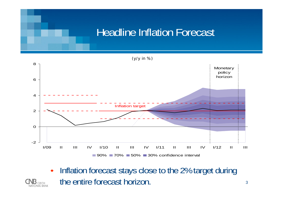## Headline Inflation Forecast



• Inflation forecast stays close to the 2% target during the entire forecast horizon.

Ational bank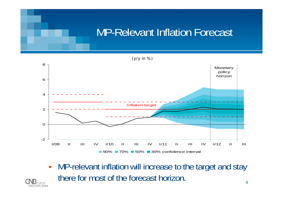## MP-Relevant Inflation Forecast

(y/y in %) -202 468I/09 II III IV I/10 II III IV I/11 II III IV I/12 II III90% **■ 70% ■ 50% ■ 30% confidence interval** Inflation target **Monetary** policy horizon

4• MP-relevant inflation will increase to the target and stay there for most of the forecast horizon.

Ationai rank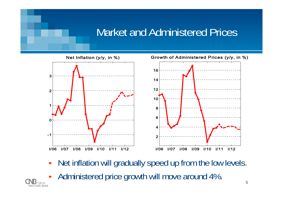## Market and Administered Prices



- Net inflation will gradually speed up from the low levels.
- Administered price growth will move around 4%.

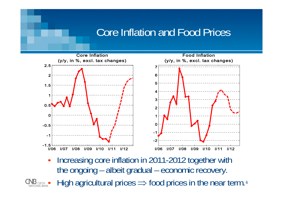#### Core Inflation and Food Prices



Increasing core inflation in 2011-2012 together with the ongoing – albeit gradual – economic recovery.

6 • High agricultural prices  $\Rightarrow$  food prices in the near term.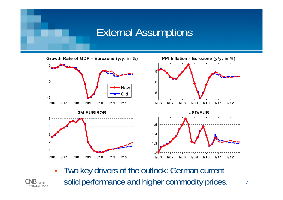#### External Assumptions



• Two key drivers of the outlook: German current solid performance and higher commodity prices.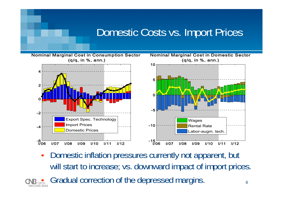#### Domestic Costs vs. Import Prices



• Domestic inflation pressures currently not apparent, but will start to increase; vs. downward impact of import prices. • Gradual correction of the depressed margins.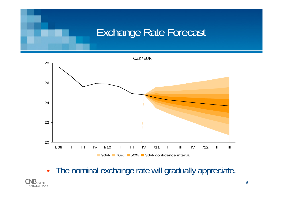#### Exchange Rate Forecast



• The nominal exchange rate will gradually appreciate.

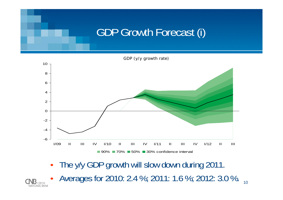# GDP Growth Forecast (i)

GDP (y/y growth rate)



- The y/y GDP growth will slow down during 2011.
- Averages for 2010: 2.4 %; 2011: 1.6 %; 2012: 3.0 %.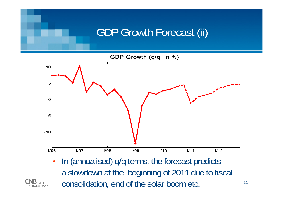## GDP Growth Forecast (ii)



• In (annualised) q/q terms, the forecast predicts a slowdown at the beginning of 2011 due to fiscal consolidation, end of the solar boom etc.

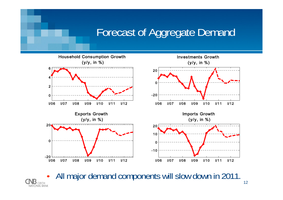## Forecast of Aggregate Demand



• All major demand components will slow down in 2011.

**NATIONAL BANK**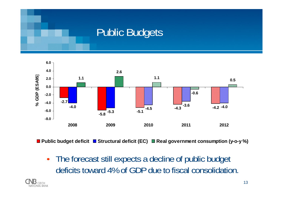#### Public Budgets



**Public budget deficit Structural deficit (EC) Real government consumption (y-o-y %)**

• The forecast still expects a decline of public budget deficits toward 4% of GDP due to fiscal consolidation.

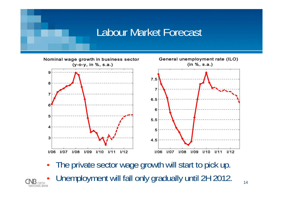#### Labour Market Forecast



- The private sector wage growth will start to pick up.
- Unemployment will fall only gradually until 2H 2012.

**TIONAL RANK**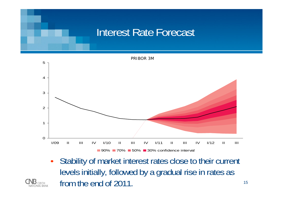#### Interest Rate Forecast



• Stability of market interest rates close to their current levels initially, followed by a gradual rise in rates as from the end of 2011.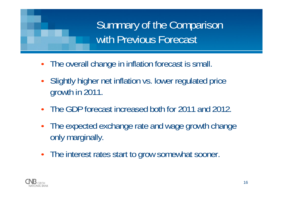Summary of the Comparison with Previous Forecast

- The overall change in inflation forecast is small.
- Slightly higher net inflation vs. lower regulated price growth in 2011.
- The GDP forecast increased both for 2011 and 2012.
- The expected exchange rate and wage growth change only marginally.
- The interest rates start to grow somewhat sooner.

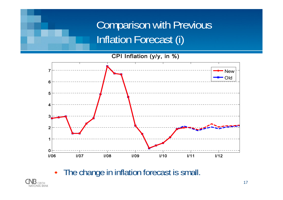## Comparison with Previous Inflation Forecast (i)

CPI Inflation (y/y, in %)



• The change in inflation forecast is small.

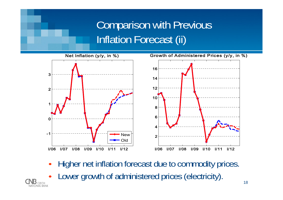## Comparison with Previous Inflation Forecast (ii)



- Higher net inflation forecast due to commodity prices.
- Lower growth of administered prices (electricity).

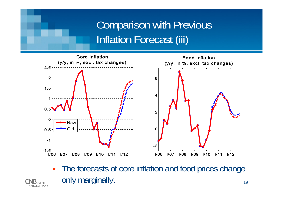## Comparison with Previous Inflation Forecast (iii)



• The forecasts of core inflation and food prices change only marginally.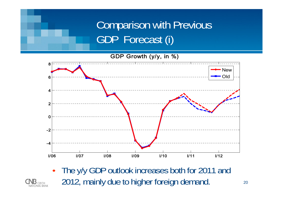## Comparison with Previous GDP Forecast (i)

#### GDP Growth (y/y, in %)



The y/y GDP outlook increases both for 2011 and 2012, mainly due to higher foreign demand.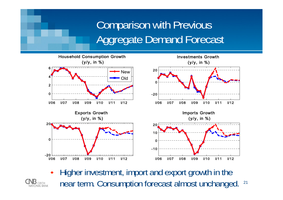## Comparison with Previous Aggregate Demand Forecast



21• Higher investment, import and export growth in the near term. Consumption forecast almost unchanged.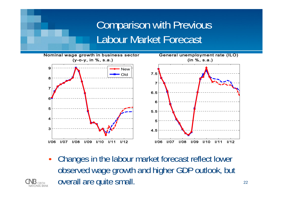#### Comparison with Previous Labour Market Forecast



• Changes in the labour market forecast reflect lower observed wage growth and higher GDP outlook, but overall are quite small.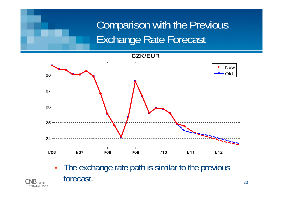# Comparison with the Previous Exchange Rate Forecast

#### CZK/EUR



• The exchange rate path is similar to the previous forecast.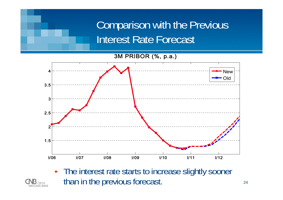#### Comparison with the Previous Interest Rate Forecast

3M PRIBOR (%, p.a.)



• The interest rate starts to increase slightly sooner than in the previous forecast.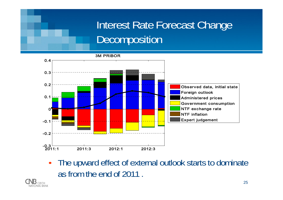## Interest Rate Forecast Change **Decomposition**

3M PRIBOR0.40.3 0.2Observed data, initial state Foreign outlook 0.1 Administered prices Government consumption  $\bullet$ NTF exchange rate  $\mathbf{0}^{\prime}$ NTF inflationExpert judgement-0.1 -0.2-0.3 2011:3 2012:1 2012:3 2011:1

• The upward effect of external outlook starts to dominate as from the end of 2011 .

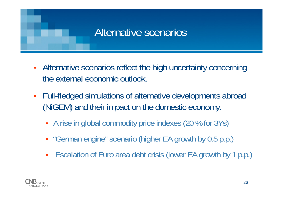#### Alternative scenarios

- Alternative scenarios reflect the high uncertainty concerning the external economic outlook.
- Full-fledged simulations of alternative developments abroad (NiGEM) and their impact on the domestic economy.
	- A rise in global commodity price indexes (20 % for 3Ys)
	- "German engine" scenario (higher EA growth by 0.5 p.p.)
	- Escalation of Euro area debt crisis (lower EA growth by 1 p.p.)

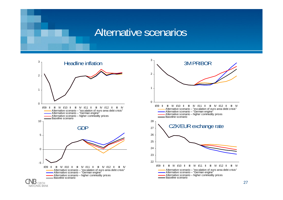#### Alternative scenarios